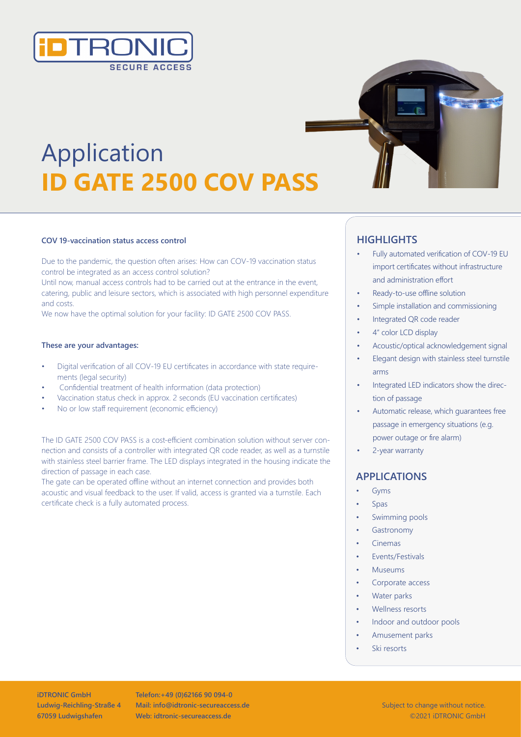

# Application **ID GATE 2500 COV PASS**

#### **COV 19-vaccination status access control**

Due to the pandemic, the question often arises: How can COV-19 vaccination status control be integrated as an access control solution? Until now, manual access controls had to be carried out at the entrance in the event, catering, public and leisure sectors, which is associated with high personnel expenditure and costs.

We now have the optimal solution for your facility: ID GATE 2500 COV PASS.

#### **These are your advantages:**

- Digital verification of all COV-19 EU certificates in accordance with state requirements (legal security)
- Confidential treatment of health information (data protection)
- Vaccination status check in approx. 2 seconds (EU vaccination certificates)
- No or low staff requirement (economic efficiency)

The ID GATE 2500 COV PASS is a cost-efficient combination solution without server connection and consists of a controller with integrated QR code reader, as well as a turnstile with stainless steel barrier frame. The LED displays integrated in the housing indicate the direction of passage in each case.

The gate can be operated offline without an internet connection and provides both acoustic and visual feedback to the user. If valid, access is granted via a turnstile. Each certificate check is a fully automated process.



## **HIGHLIGHTS**

- Fully automated verification of COV-19 EU import certificates without infrastructure and administration effort
- Ready-to-use offline solution
- Simple installation and commissioning
- Integrated QR code reader
- 4" color LCD display
- Acoustic/optical acknowledgement signal
- Elegant design with stainless steel turnstile arms
- Integrated LED indicators show the direction of passage
- Automatic release, which guarantees free passage in emergency situations (e.g. power outage or fire alarm)
- 2-year warranty

### **APPLICATIONS**

- **Gyms**
- Spas
- Swimming pools
- **Gastronomy**
- Cinemas
- Events/Festivals
- Museums
- Corporate access
- Water parks
- Wellness resorts
- Indoor and outdoor pools
- Amusement parks
- Ski resorts

**iDTRONIC GmbH Ludwig-Reichling-Straße 4 67059 Ludwigshafen** 

**Telefon:+49 (0)62166 90 094-0 Mail: info@idtronic-secureaccess.de Web: idtronic-secureaccess.de**

Subject to change without notice. ©2021 iDTRONIC GmbH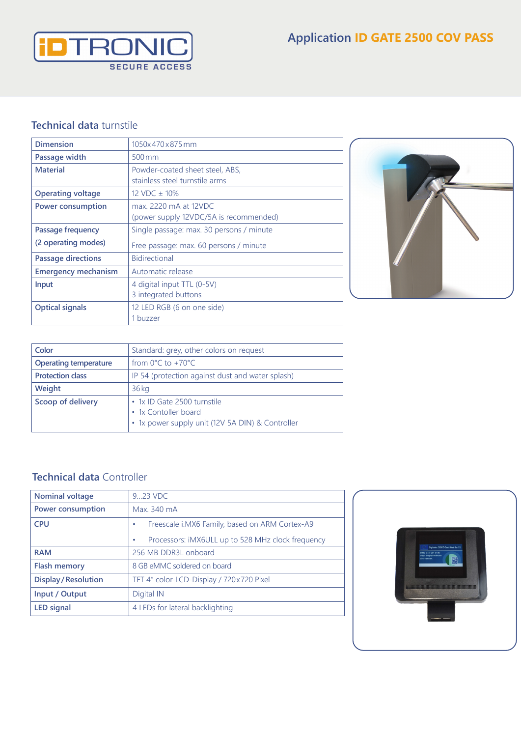

## **Technical data** turnstile

| <b>Dimension</b>           | 1050x470x875mm                           |  |
|----------------------------|------------------------------------------|--|
| Passage width              | $500 \,\mathrm{mm}$                      |  |
| <b>Material</b>            | Powder-coated sheet steel, ABS,          |  |
|                            | stainless steel turnstile arms           |  |
| <b>Operating voltage</b>   | 12 VDC $\pm$ 10%                         |  |
| <b>Power consumption</b>   | max. 2220 mA at 12VDC                    |  |
|                            | (power supply 12VDC/5A is recommended)   |  |
| Passage frequency          | Single passage: max. 30 persons / minute |  |
| (2 operating modes)        | Free passage: max. 60 persons / minute   |  |
| <b>Passage directions</b>  | <b>Bidirectional</b>                     |  |
| <b>Emergency mechanism</b> | Automatic release                        |  |
| Input                      | 4 digital input TTL (0-5V)               |  |
|                            | 3 integrated buttons                     |  |
| <b>Optical signals</b>     | 12 LED RGB (6 on one side)               |  |
|                            | 1 buzzer                                 |  |



| Color                        | Standard: grey, other colors on request                                                                 |
|------------------------------|---------------------------------------------------------------------------------------------------------|
| <b>Operating temperature</b> | from $0^{\circ}$ C to +70 $^{\circ}$ C                                                                  |
| <b>Protection class</b>      | IP 54 (protection against dust and water splash)                                                        |
| Weight                       | $36$ kg                                                                                                 |
| Scoop of delivery            | • 1x ID Gate 2500 turnstile<br>• 1x Contoller board<br>• 1x power supply unit (12V 5A DIN) & Controller |

# **Technical data** Controller

| <b>Nominal voltage</b>      | 9.23 VDC                                               |  |
|-----------------------------|--------------------------------------------------------|--|
| <b>Power consumption</b>    | Max. 340 mA                                            |  |
| <b>CPU</b>                  | Freescale i.MX6 Family, based on ARM Cortex-A9         |  |
|                             | Processors: iMX6ULL up to 528 MHz clock frequency<br>٠ |  |
| <b>RAM</b>                  | 256 MB DDR3L onboard                                   |  |
| <b>Flash memory</b>         | 8 GB eMMC soldered on board                            |  |
| <b>Display / Resolution</b> | TFT 4" color-LCD-Display / 720x720 Pixel               |  |
| Input / Output              | Digital IN                                             |  |
| <b>LED signal</b>           | 4 LEDs for lateral backlighting                        |  |
|                             |                                                        |  |